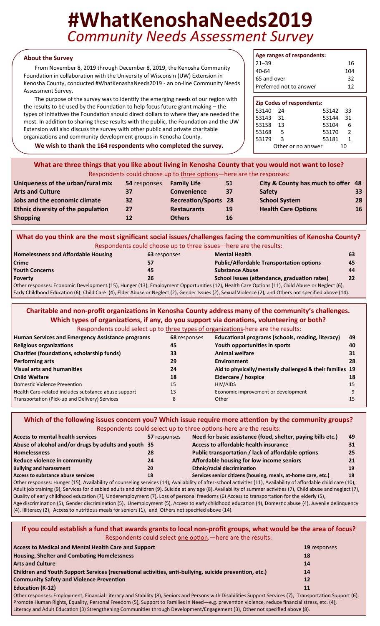# **#WhatKenoshaNeeds2019** *Community Needs Assessment Survey*

#### **About the Survey**

From November 8, 2019 through December 8, 2019, the Kenosha Community Foundation in collaboration with the University of Wisconsin (UW) Extension in Kenosha County, conducted #WhatKenashaNeeds2019 - an on-line Community Needs Assessment Survey.

The purpose of the survey was to identify the emerging needs of our region with the results to be used by the Foundation to help focus future grant making – the types of initiatives the Foundation should direct dollars to where they are needed the most. In addition to sharing these results with the public, the Foundation and the UW Extension will also discuss the survey with other public and private charitable organizations and community development groups in Kenosha County.

**We wish to thank the 164 respondents who completed the survey.**

| Age ranges of respondents: |     |
|----------------------------|-----|
| $21 - 39$                  | 16  |
| 40-64                      | 104 |
| 65 and over                | 32  |
| Preferred not to answer    | 12  |

| <b>Zip Codes of respondents:</b> |     |                    |                |
|----------------------------------|-----|--------------------|----------------|
| 53140                            | 24  | 53142 33           |                |
| 53143 31                         |     | 53144 31           |                |
| 53158                            | 13  | 53104              | 6              |
| 53168                            | - 5 | 53170              | $\overline{2}$ |
| 53179                            | ર   | 53181              | 1              |
|                                  |     | Other or no answer | 10             |

| What are three things that you like about living in Kenosha County that you would not want to lose? |
|-----------------------------------------------------------------------------------------------------|
| Respondents could choose up to three options—here are the responses:                                |
|                                                                                                     |

| Uniqueness of the urban/rural mix  | 54 responses | <b>Family Life</b>          | 51        | City & County has much to offer 48 |                 |
|------------------------------------|--------------|-----------------------------|-----------|------------------------------------|-----------------|
| <b>Arts and Culture</b>            | 37           | <b>Convenience</b>          | 37        | <b>Safety</b>                      | 33 <sup>°</sup> |
| Jobs and the economic climate      | 32           | <b>Recreation/Sports 28</b> |           | <b>School System</b>               | 28              |
| Ethnic diversity of the population | 27           | <b>Restaurants</b>          | <b>19</b> | <b>Health Care Options</b>         | 16              |
| <b>Shopping</b>                    | 12           | <b>Others</b>               | 16        |                                    |                 |

|                                            |              | What do you think are the most significant social issues/challenges facing the communities of Kenosha County?                                 |    |
|--------------------------------------------|--------------|-----------------------------------------------------------------------------------------------------------------------------------------------|----|
|                                            |              | Respondents could choose up to three issues—here are the results:                                                                             |    |
| <b>Homelessness and Affordable Housing</b> | 63 responses | <b>Mental Health</b>                                                                                                                          | 63 |
| Crime                                      |              | <b>Public/Affordable Transportation options</b>                                                                                               | 45 |
| <b>Youth Concerns</b>                      | 45           | <b>Substance Abuse</b>                                                                                                                        | 44 |
| <b>Poverty</b>                             | 26           | School Issues (attendance, graduation rates)                                                                                                  | 22 |
|                                            |              | Other responses: Economic Development (15), Hunger (13), Employment Opportunities (12), Health Care Options (11), Child Abuse or Neglect (6), |    |
|                                            |              | $F_{sub}, Chilab and Fd, antia, (C) Chilab Can (A) Flab, Ab, an Nabab, (C) Cauchy be, (D) Cauchy (C) Cauchy (D) and Chabay, (D) and Chabay,$  |    |

Early Childhood Education (6), Child Care (4), Elder Abuse or Neglect (2), Gender Issues (2), Sexual Violence (2), and Others not specified above (14).

| Charitable and non-profit organizations in Kenosha County address many of the community's challenges. |              | Which types of organizations, if any, do you support via donations, volunteering or both? |    |
|-------------------------------------------------------------------------------------------------------|--------------|-------------------------------------------------------------------------------------------|----|
| Respondents could select up to three types of organizations-here are the results:                     |              |                                                                                           |    |
| <b>Human Services and Emergency Assistance programs</b>                                               | 68 responses | Educational programs (schools, reading, literacy)                                         | 49 |
| <b>Religious organizations</b>                                                                        | 45           | Youth opportunities in sports                                                             | 40 |
| <b>Charities (foundations, scholarship funds)</b>                                                     | 33           | <b>Animal welfare</b>                                                                     | 31 |
| <b>Performing arts</b>                                                                                | 29           | <b>Environment</b>                                                                        | 28 |
| <b>Visual arts and humanities</b>                                                                     | 24           | Aid to physically/mentally challenged & their families 19                                 |    |
| <b>Child Welfare</b>                                                                                  | 18           | Eldercare / hospice                                                                       | 18 |
| Domestic Violence Prevention                                                                          | 15           | HIV/AIDS                                                                                  | 15 |
| Health Care-related includes substance abuse support                                                  | 13           | Economic improvement or development                                                       | 9  |
| Transportation (Pick-up and Delivery) Services                                                        | 8            | Other                                                                                     | 15 |

|                                                      |              | Which of the following issues concern you? Which issue require more attention by the community groups?                                                            |    |
|------------------------------------------------------|--------------|-------------------------------------------------------------------------------------------------------------------------------------------------------------------|----|
|                                                      |              | Respondents could select up to three options-here are the results:                                                                                                |    |
| <b>Access to mental health services</b>              | 57 responses | Need for basic assistance (food, shelter, paying bills etc.)                                                                                                      | 49 |
| Abuse of alcohol and/or drugs by adults and youth 35 |              | Access to affordable health insurance                                                                                                                             | 31 |
| <b>Homelessness</b>                                  | 28           | Public transportation / lack of affordable options                                                                                                                | 25 |
| Reduce violence in community                         | 24           | Affordable housing for low income seniors                                                                                                                         | 21 |
| <b>Bullying and harassment</b>                       | 20           | Ethnic/racial discrimination                                                                                                                                      | 19 |
| Access to substance abuse services                   | 18           | Services senior citizens (housing, meals, at-home care, etc.)                                                                                                     | 18 |
|                                                      |              | Other responses: Hunger (15), Availability of counseling services (14), Availability of after-school activities (11), Availability of affordable child care (10), |    |
|                                                      |              |                                                                                                                                                                   |    |

Adult job training (9), Services for disabled adults and children (9), Suicide at any age (8), Availability of summer activities (7), Child abuse and neglect (7), Quality of early childhood education (7), Underemployment (7), Loss of personal freedoms (6) Access to transportation for the elderly (5), Age discrimination (5), Gender discrimination (5), Unemployment (5), Access to early childhood education (4), Domestic abuse (4), Juvenile delinquency (4), Illiteracy (2), Access to nutritious meals for seniors (1), and Others not specified above (14).

**If you could establish a fund that awards grants to local non-profit groups, what would be the area of focus?**  Respondents could select one option.—here are the results:

| <b>Access to Medical and Mental Health Care and Support</b>                                                                                                | <b>19</b> responses |
|------------------------------------------------------------------------------------------------------------------------------------------------------------|---------------------|
| <b>Housing, Shelter and Combating Homelessness</b>                                                                                                         | 18                  |
| <b>Arts and Culture</b>                                                                                                                                    | 14                  |
| Children and Youth Support Services (recreational activities, anti-bullying, suicide prevention, etc.)                                                     | 14                  |
| <b>Community Safety and Violence Prevention</b>                                                                                                            | 12                  |
| <b>Education (K-12)</b>                                                                                                                                    | 11                  |
| Other responses: Employment, Financial Literacy and Stability (8), Seniors and Persons with Disabilities Support Services (7), Transportation Support (6), |                     |

Promote Human Rights, Equality, Personal Freedom (5), Support to Families in Need—e.g. prevention violence, reduce financial stress, etc. (4), Literacy and Adult Education (3) Strengthening Communities through Development/Engagement (3), Other not specified above (8).